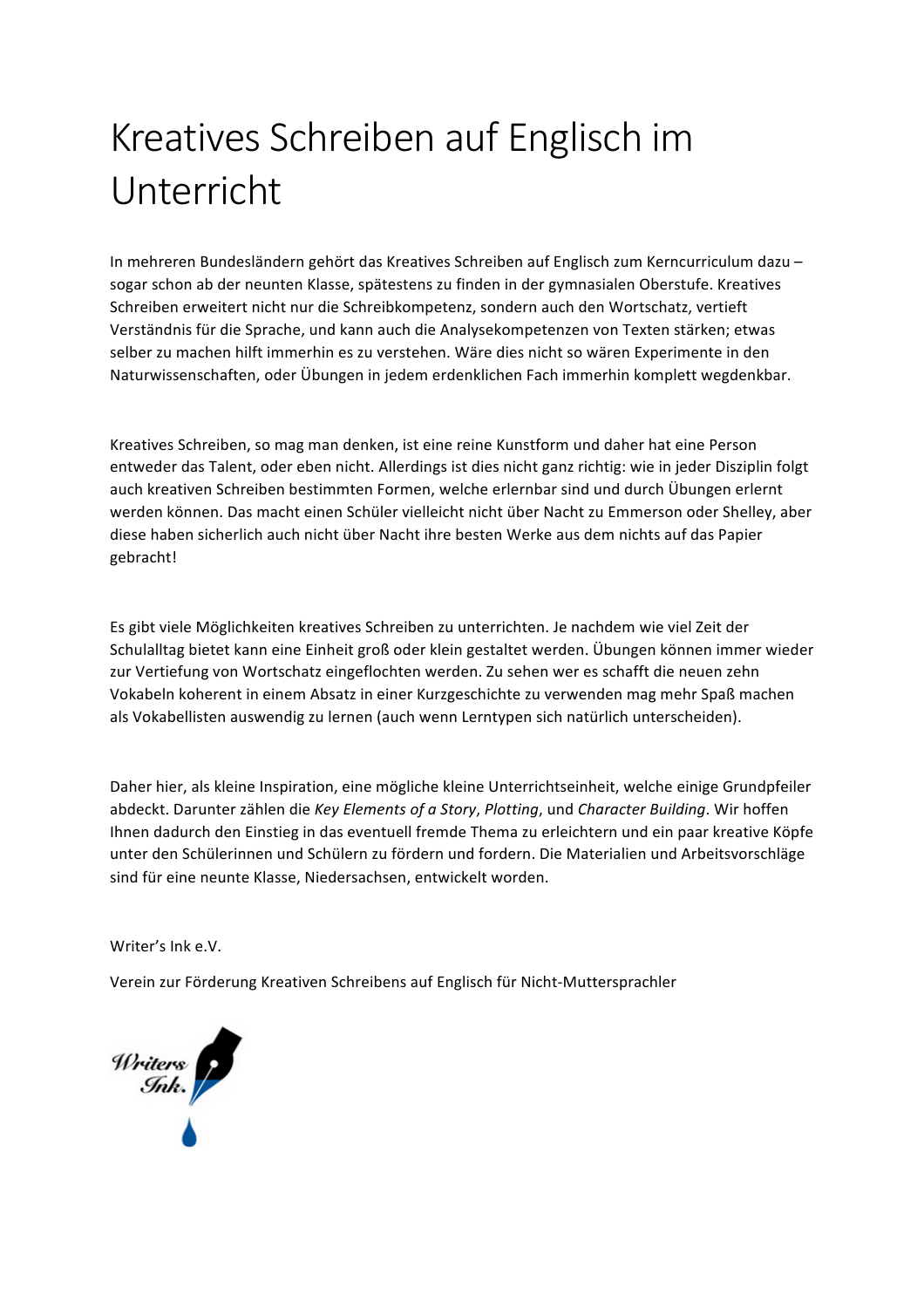# Kreatives Schreiben auf Englisch im Unterricht

In mehreren Bundesländern gehört das Kreatives Schreiben auf Englisch zum Kerncurriculum dazusogar schon ab der neunten Klasse, spätestens zu finden in der gymnasialen Oberstufe. Kreatives Schreiben erweitert nicht nur die Schreibkompetenz, sondern auch den Wortschatz, vertieft Verständnis für die Sprache, und kann auch die Analysekompetenzen von Texten stärken; etwas selber zu machen hilft immerhin es zu verstehen. Wäre dies nicht so wären Experimente in den Naturwissenschaften, oder Übungen in jedem erdenklichen Fach immerhin komplett wegdenkbar.

Kreatives Schreiben, so mag man denken, ist eine reine Kunstform und daher hat eine Person entweder das Talent, oder eben nicht. Allerdings ist dies nicht ganz richtig: wie in jeder Disziplin folgt auch kreativen Schreiben bestimmten Formen, welche erlernbar sind und durch Übungen erlernt werden können. Das macht einen Schüler vielleicht nicht über Nacht zu Emmerson oder Shelley, aber diese haben sicherlich auch nicht über Nacht ihre besten Werke aus dem nichts auf das Papier gebracht!

Es gibt viele Möglichkeiten kreatives Schreiben zu unterrichten. Je nachdem wie viel Zeit der Schulalltag bietet kann eine Einheit groß oder klein gestaltet werden. Übungen können immer wieder zur Vertiefung von Wortschatz eingeflochten werden. Zu sehen wer es schafft die neuen zehn Vokabeln koherent in einem Absatz in einer Kurzgeschichte zu verwenden mag mehr Spaß machen als Vokabellisten auswendig zu lernen (auch wenn Lerntypen sich natürlich unterscheiden).

Daher hier, als kleine Inspiration, eine mögliche kleine Unterrichtseinheit, welche einige Grundpfeiler abdeckt. Darunter zählen die *Key Elements of a Story, Plotting*, und Character Building. Wir hoffen Ihnen dadurch den Einstieg in das eventuell fremde Thema zu erleichtern und ein paar kreative Köpfe unter den Schülerinnen und Schülern zu fördern und fordern. Die Materialien und Arbeitsvorschläge sind für eine neunte Klasse, Niedersachsen, entwickelt worden.

Writer's Ink e.V.

Verein zur Förderung Kreativen Schreibens auf Englisch für Nicht-Muttersprachler

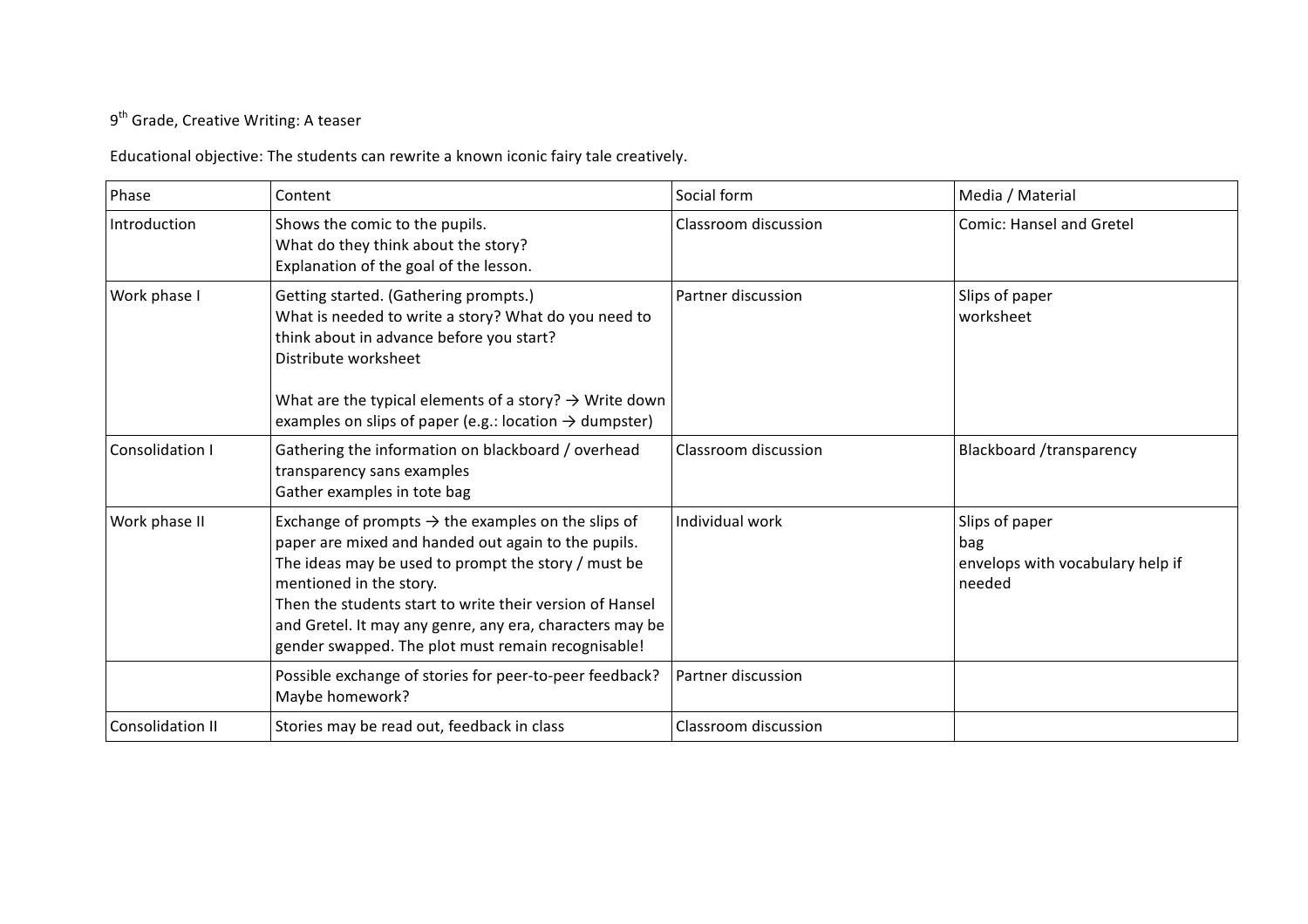# $9<sup>th</sup>$  Grade, Creative Writing: A teaser

Educational objective: The students can rewrite a known iconic fairy tale creatively.

| Phase            | Content                                                                                                                                                                                                                                                                                                                                                                               | Social form          | Media / Material                                                    |
|------------------|---------------------------------------------------------------------------------------------------------------------------------------------------------------------------------------------------------------------------------------------------------------------------------------------------------------------------------------------------------------------------------------|----------------------|---------------------------------------------------------------------|
| Introduction     | Shows the comic to the pupils.<br>What do they think about the story?<br>Explanation of the goal of the lesson.                                                                                                                                                                                                                                                                       | Classroom discussion | <b>Comic: Hansel and Gretel</b>                                     |
| Work phase I     | Getting started. (Gathering prompts.)<br>What is needed to write a story? What do you need to<br>think about in advance before you start?<br>Distribute worksheet<br>What are the typical elements of a story? $\rightarrow$ Write down<br>examples on slips of paper (e.g.: location $\rightarrow$ dumpster)                                                                         | Partner discussion   | Slips of paper<br>worksheet                                         |
| Consolidation I  | Gathering the information on blackboard / overhead<br>transparency sans examples<br>Gather examples in tote bag                                                                                                                                                                                                                                                                       | Classroom discussion | Blackboard /transparency                                            |
| Work phase II    | Exchange of prompts $\rightarrow$ the examples on the slips of<br>paper are mixed and handed out again to the pupils.<br>The ideas may be used to prompt the story / must be<br>mentioned in the story.<br>Then the students start to write their version of Hansel<br>and Gretel. It may any genre, any era, characters may be<br>gender swapped. The plot must remain recognisable! | Individual work      | Slips of paper<br>bag<br>envelops with vocabulary help if<br>needed |
|                  | Possible exchange of stories for peer-to-peer feedback?<br>Maybe homework?                                                                                                                                                                                                                                                                                                            | Partner discussion   |                                                                     |
| Consolidation II | Stories may be read out, feedback in class                                                                                                                                                                                                                                                                                                                                            | Classroom discussion |                                                                     |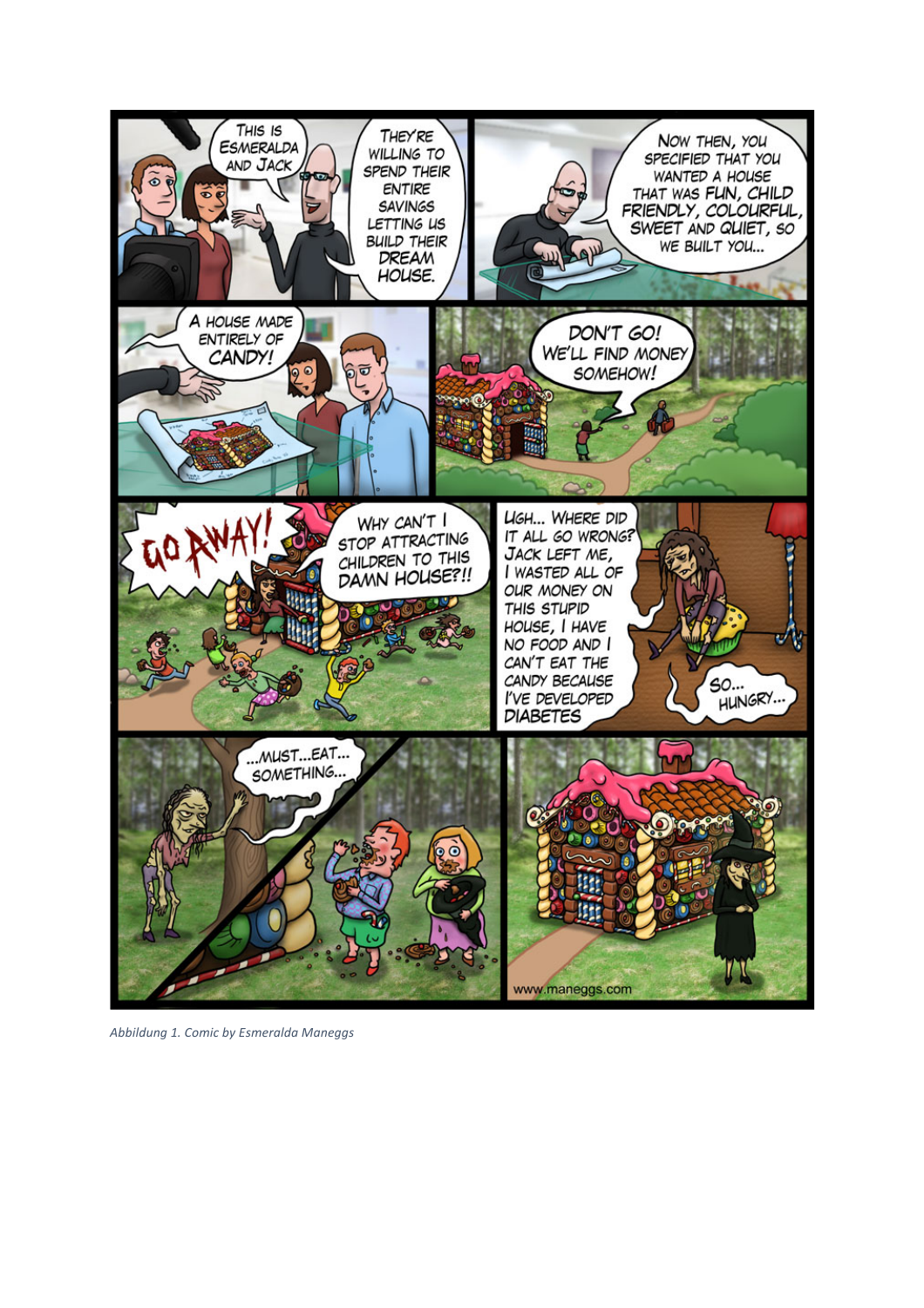

*Abbildung 1. Comic by Esmeralda Maneggs*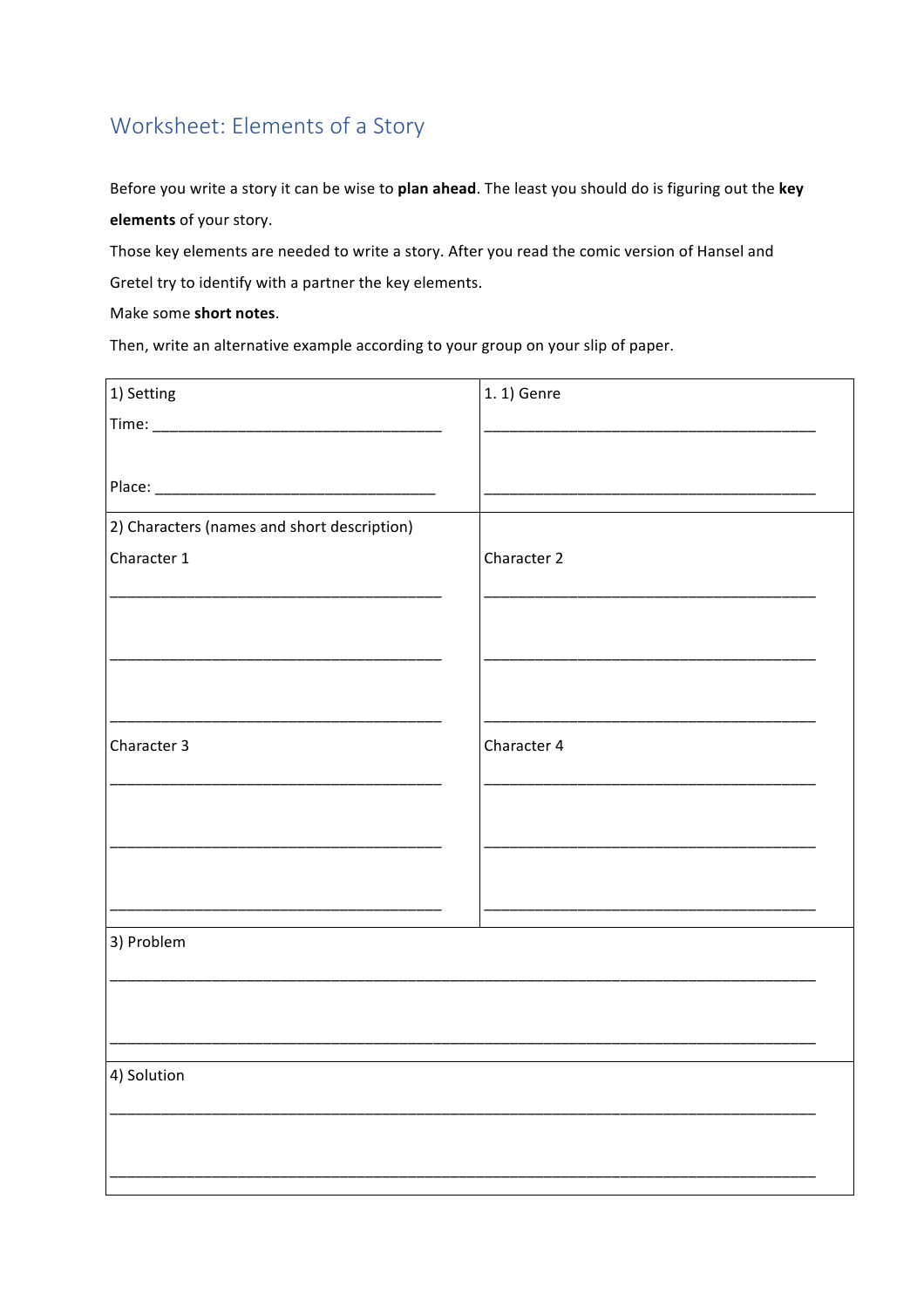# Worksheet: Elements of a Story

Before you write a story it can be wise to plan ahead. The least you should do is figuring out the key elements of your story.

Those key elements are needed to write a story. After you read the comic version of Hansel and

Gretel try to identify with a partner the key elements.

Make some short notes.

Then, write an alternative example according to your group on your slip of paper.

| 1) Setting                                  | 1. 1) Genre |
|---------------------------------------------|-------------|
|                                             |             |
|                                             |             |
|                                             |             |
| 2) Characters (names and short description) |             |
| Character 1                                 | Character 2 |
|                                             |             |
|                                             |             |
|                                             |             |
|                                             |             |
|                                             |             |
| Character 3                                 | Character 4 |
|                                             |             |
|                                             |             |
|                                             |             |
|                                             |             |
|                                             |             |
| 3) Problem                                  |             |
|                                             |             |
|                                             |             |
|                                             |             |
| 4) Solution                                 |             |
|                                             |             |
|                                             |             |
|                                             |             |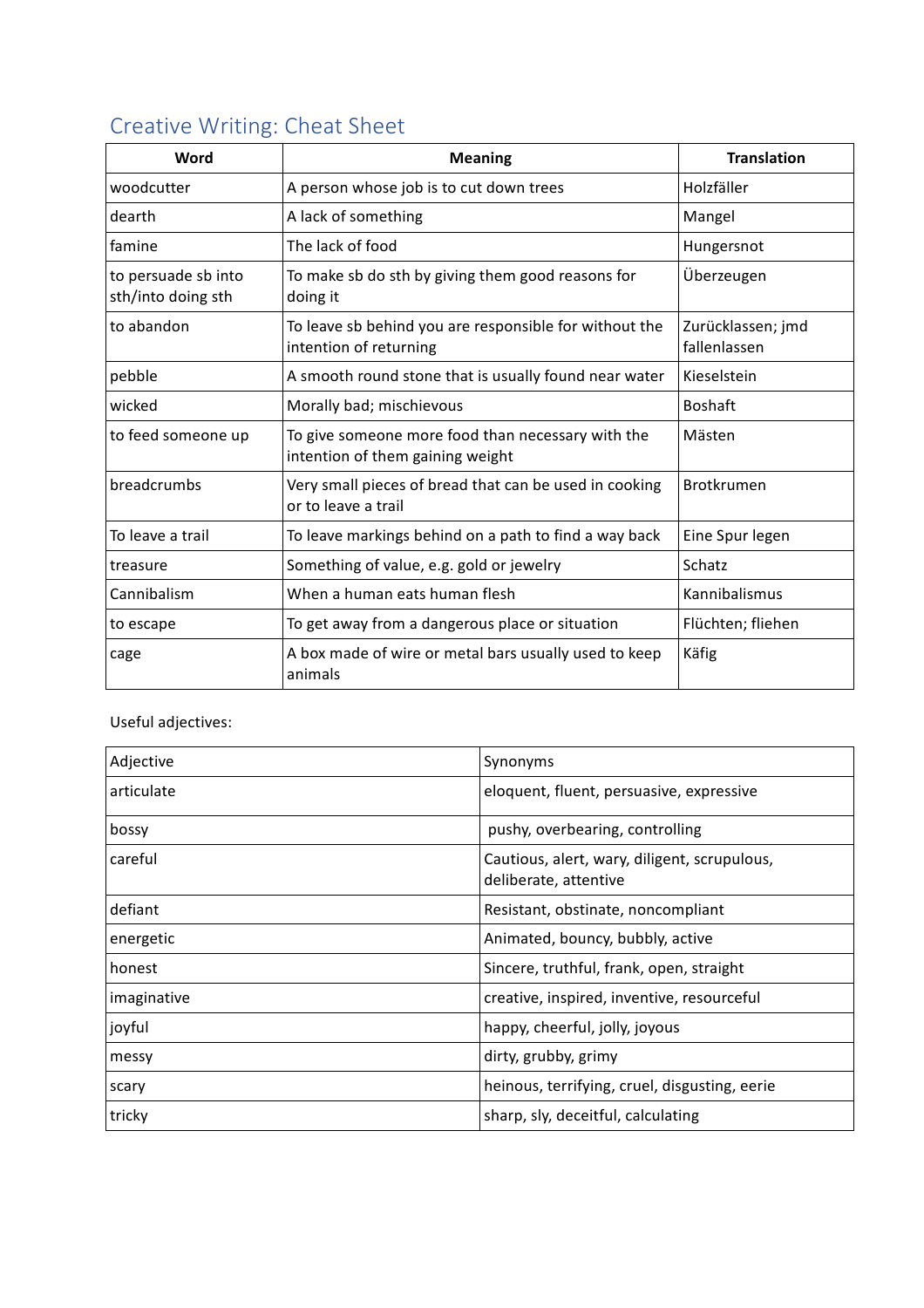| Word                                      | <b>Meaning</b>                                                                        | <b>Translation</b>                |  |  |  |
|-------------------------------------------|---------------------------------------------------------------------------------------|-----------------------------------|--|--|--|
| woodcutter                                | A person whose job is to cut down trees                                               | Holzfäller                        |  |  |  |
| dearth                                    | A lack of something                                                                   | Mangel                            |  |  |  |
| famine                                    | The lack of food                                                                      | Hungersnot                        |  |  |  |
| to persuade sb into<br>sth/into doing sth | To make sb do sth by giving them good reasons for<br>doing it                         | Überzeugen                        |  |  |  |
| to abandon                                | To leave sb behind you are responsible for without the<br>intention of returning      | Zurücklassen; jmd<br>fallenlassen |  |  |  |
| pebble                                    | A smooth round stone that is usually found near water                                 | Kieselstein                       |  |  |  |
| wicked                                    | Morally bad; mischievous                                                              | <b>Boshaft</b>                    |  |  |  |
| to feed someone up                        | To give someone more food than necessary with the<br>intention of them gaining weight | Mästen                            |  |  |  |
| breadcrumbs                               | Very small pieces of bread that can be used in cooking<br>or to leave a trail         | <b>Brotkrumen</b>                 |  |  |  |
| To leave a trail                          | To leave markings behind on a path to find a way back                                 | Eine Spur legen                   |  |  |  |
| treasure                                  | Something of value, e.g. gold or jewelry                                              | Schatz                            |  |  |  |
| Cannibalism                               | When a human eats human flesh                                                         | Kannibalismus                     |  |  |  |
| to escape                                 | To get away from a dangerous place or situation                                       | Flüchten; fliehen                 |  |  |  |
| cage                                      | A box made of wire or metal bars usually used to keep                                 | Käfig                             |  |  |  |

## Creative Writing: Cheat Sheet

Useful adjectives:

animals

| Adjective   | Synonyms                                                              |
|-------------|-----------------------------------------------------------------------|
| articulate  | eloquent, fluent, persuasive, expressive                              |
| bossy       | pushy, overbearing, controlling                                       |
| careful     | Cautious, alert, wary, diligent, scrupulous,<br>deliberate, attentive |
| defiant     | Resistant, obstinate, noncompliant                                    |
| energetic   | Animated, bouncy, bubbly, active                                      |
| honest      | Sincere, truthful, frank, open, straight                              |
| imaginative | creative, inspired, inventive, resourceful                            |
| joyful      | happy, cheerful, jolly, joyous                                        |
| messy       | dirty, grubby, grimy                                                  |
| scary       | heinous, terrifying, cruel, disgusting, eerie                         |
| tricky      | sharp, sly, deceitful, calculating                                    |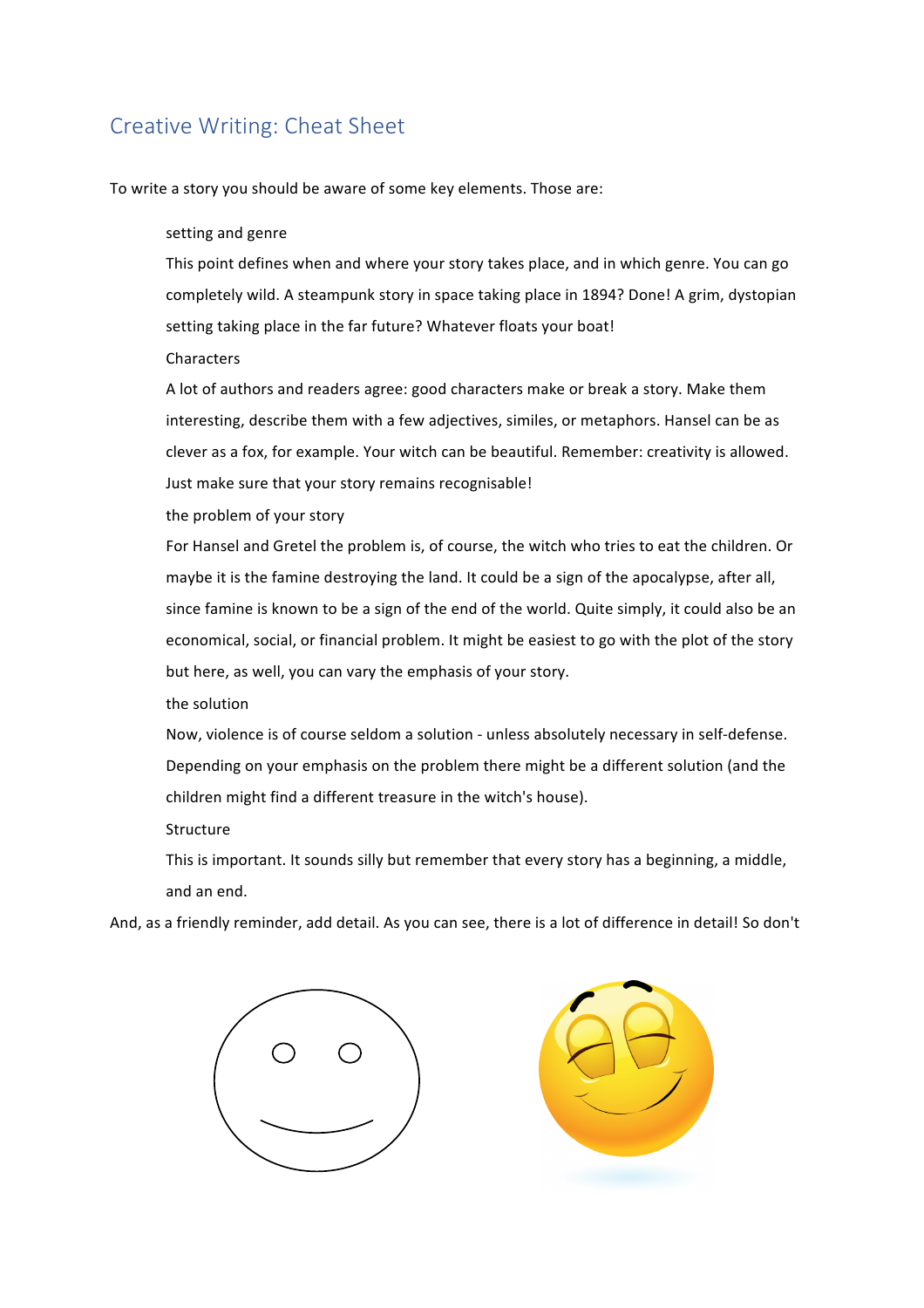## Creative Writing: Cheat Sheet

To write a story you should be aware of some key elements. Those are:

#### setting and genre

This point defines when and where your story takes place, and in which genre. You can go completely wild. A steampunk story in space taking place in 1894? Done! A grim, dystopian setting taking place in the far future? Whatever floats your boat!

**Characters** 

A lot of authors and readers agree: good characters make or break a story. Make them interesting, describe them with a few adjectives, similes, or metaphors. Hansel can be as clever as a fox, for example. Your witch can be beautiful. Remember: creativity is allowed. Just make sure that your story remains recognisable!

the problem of your story

For Hansel and Gretel the problem is, of course, the witch who tries to eat the children. Or maybe it is the famine destroying the land. It could be a sign of the apocalypse, after all, since famine is known to be a sign of the end of the world. Quite simply, it could also be an economical, social, or financial problem. It might be easiest to go with the plot of the story but here, as well, you can vary the emphasis of your story.

the solution

Now, violence is of course seldom a solution - unless absolutely necessary in self-defense. Depending on your emphasis on the problem there might be a different solution (and the children might find a different treasure in the witch's house).

Structure

This is important. It sounds silly but remember that every story has a beginning, a middle, and an end.

And, as a friendly reminder, add detail. As you can see, there is a lot of difference in detail! So don't



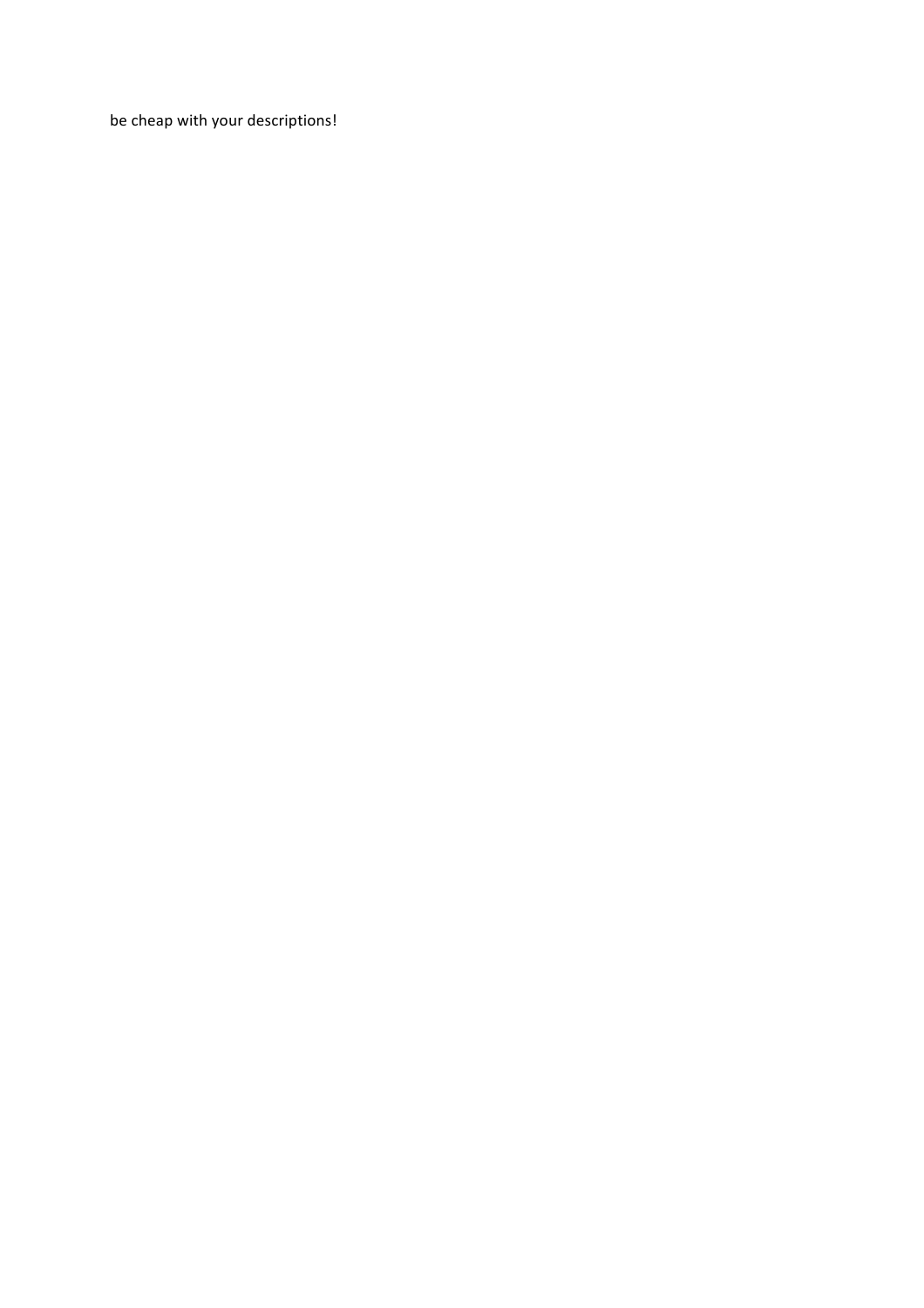be cheap with your descriptions!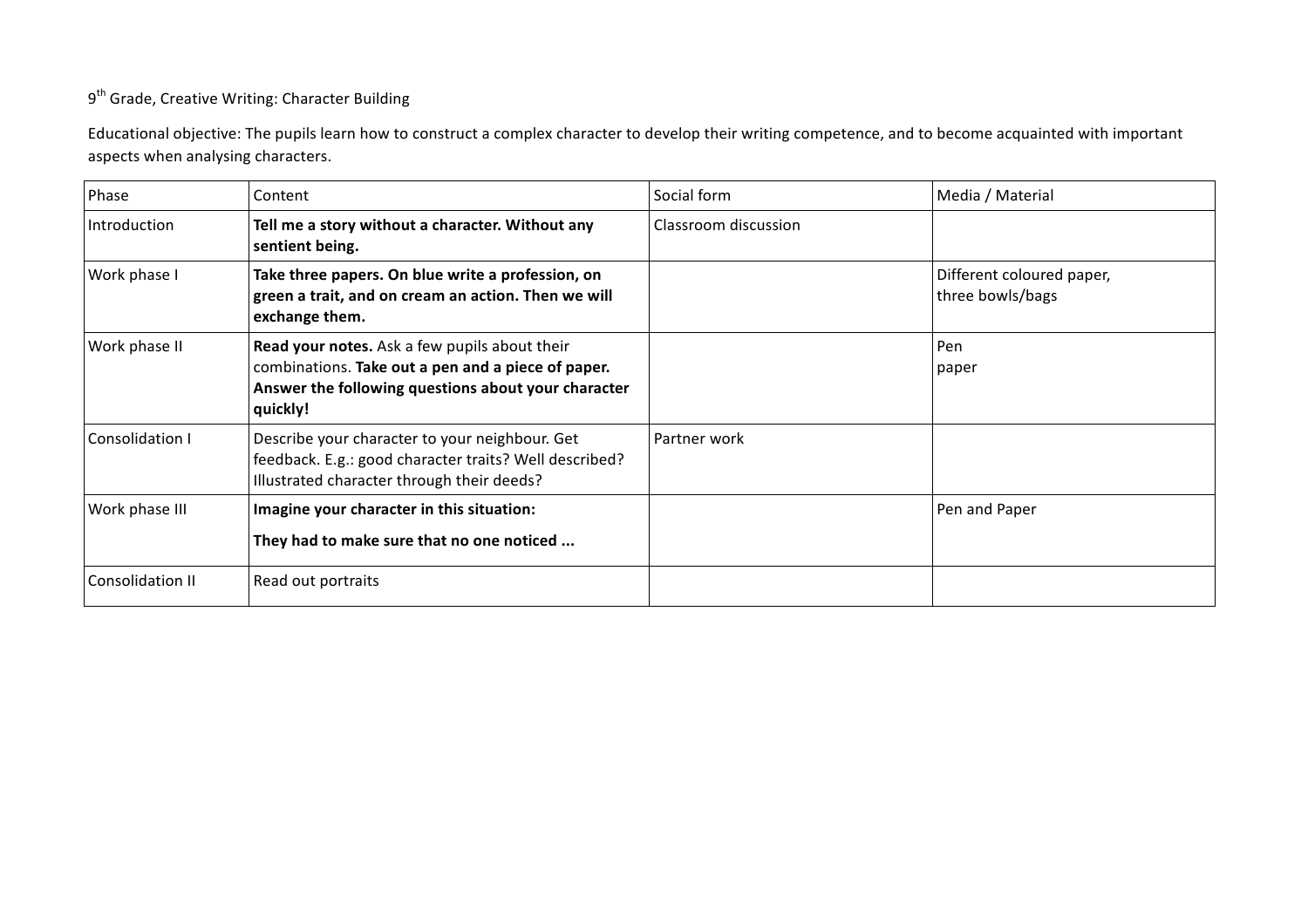## 9<sup>th</sup> Grade, Creative Writing: Character Building

Educational objective: The pupils learn how to construct a complex character to develop their writing competence, and to become acquainted with important aspects when analysing characters.

| Phase                  | Content                                                                                                                                                                | Social form          | Media / Material                              |
|------------------------|------------------------------------------------------------------------------------------------------------------------------------------------------------------------|----------------------|-----------------------------------------------|
| Introduction           | Tell me a story without a character. Without any<br>sentient being.                                                                                                    | Classroom discussion |                                               |
| Work phase I           | Take three papers. On blue write a profession, on<br>green a trait, and on cream an action. Then we will<br>exchange them.                                             |                      | Different coloured paper,<br>three bowls/bags |
| Work phase II          | Read your notes. Ask a few pupils about their<br>combinations. Take out a pen and a piece of paper.<br>Answer the following questions about your character<br>quickly! |                      | Pen<br>paper                                  |
| <b>Consolidation I</b> | Describe your character to your neighbour. Get<br>feedback. E.g.: good character traits? Well described?<br>Illustrated character through their deeds?                 | Partner work         |                                               |
| Work phase III         | Imagine your character in this situation:<br>They had to make sure that no one noticed                                                                                 |                      | Pen and Paper                                 |
| Consolidation II       | Read out portraits                                                                                                                                                     |                      |                                               |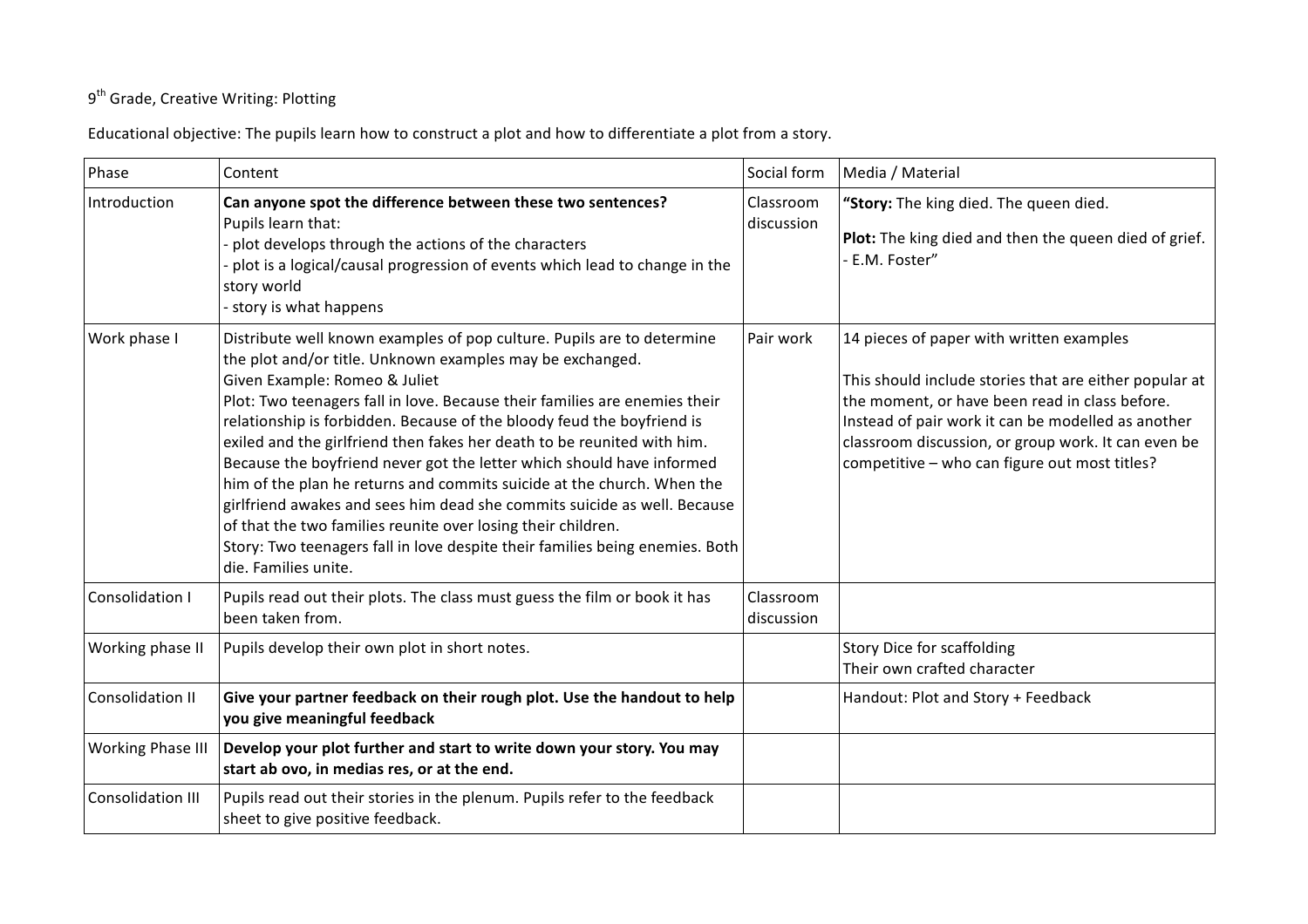## 9<sup>th</sup> Grade, Creative Writing: Plotting

Educational objective: The pupils learn how to construct a plot and how to differentiate a plot from a story.

| Phase                    | Content                                                                                                                                                                                                                                                                                                                                                                                                                                                                                                                                                                                                                                                                                                                                                                                                        | Social form             | Media / Material                                                                                                                                                                                                                                                                                                   |
|--------------------------|----------------------------------------------------------------------------------------------------------------------------------------------------------------------------------------------------------------------------------------------------------------------------------------------------------------------------------------------------------------------------------------------------------------------------------------------------------------------------------------------------------------------------------------------------------------------------------------------------------------------------------------------------------------------------------------------------------------------------------------------------------------------------------------------------------------|-------------------------|--------------------------------------------------------------------------------------------------------------------------------------------------------------------------------------------------------------------------------------------------------------------------------------------------------------------|
| Introduction             | Can anyone spot the difference between these two sentences?<br>Pupils learn that:<br>- plot develops through the actions of the characters<br>- plot is a logical/causal progression of events which lead to change in the<br>story world<br>- story is what happens                                                                                                                                                                                                                                                                                                                                                                                                                                                                                                                                           | Classroom<br>discussion | "Story: The king died. The queen died.<br>Plot: The king died and then the queen died of grief.<br>E.M. Foster"                                                                                                                                                                                                    |
| Work phase I             | Distribute well known examples of pop culture. Pupils are to determine<br>the plot and/or title. Unknown examples may be exchanged.<br>Given Example: Romeo & Juliet<br>Plot: Two teenagers fall in love. Because their families are enemies their<br>relationship is forbidden. Because of the bloody feud the boyfriend is<br>exiled and the girlfriend then fakes her death to be reunited with him.<br>Because the boyfriend never got the letter which should have informed<br>him of the plan he returns and commits suicide at the church. When the<br>girlfriend awakes and sees him dead she commits suicide as well. Because<br>of that the two families reunite over losing their children.<br>Story: Two teenagers fall in love despite their families being enemies. Both<br>die. Families unite. | Pair work               | 14 pieces of paper with written examples<br>This should include stories that are either popular at<br>the moment, or have been read in class before.<br>Instead of pair work it can be modelled as another<br>classroom discussion, or group work. It can even be<br>competitive - who can figure out most titles? |
| Consolidation I          | Pupils read out their plots. The class must guess the film or book it has<br>been taken from.                                                                                                                                                                                                                                                                                                                                                                                                                                                                                                                                                                                                                                                                                                                  | Classroom<br>discussion |                                                                                                                                                                                                                                                                                                                    |
| Working phase II         | Pupils develop their own plot in short notes.                                                                                                                                                                                                                                                                                                                                                                                                                                                                                                                                                                                                                                                                                                                                                                  |                         | Story Dice for scaffolding<br>Their own crafted character                                                                                                                                                                                                                                                          |
| <b>Consolidation II</b>  | Give your partner feedback on their rough plot. Use the handout to help<br>you give meaningful feedback                                                                                                                                                                                                                                                                                                                                                                                                                                                                                                                                                                                                                                                                                                        |                         | Handout: Plot and Story + Feedback                                                                                                                                                                                                                                                                                 |
| <b>Working Phase III</b> | Develop your plot further and start to write down your story. You may<br>start ab ovo, in medias res, or at the end.                                                                                                                                                                                                                                                                                                                                                                                                                                                                                                                                                                                                                                                                                           |                         |                                                                                                                                                                                                                                                                                                                    |
| <b>Consolidation III</b> | Pupils read out their stories in the plenum. Pupils refer to the feedback<br>sheet to give positive feedback.                                                                                                                                                                                                                                                                                                                                                                                                                                                                                                                                                                                                                                                                                                  |                         |                                                                                                                                                                                                                                                                                                                    |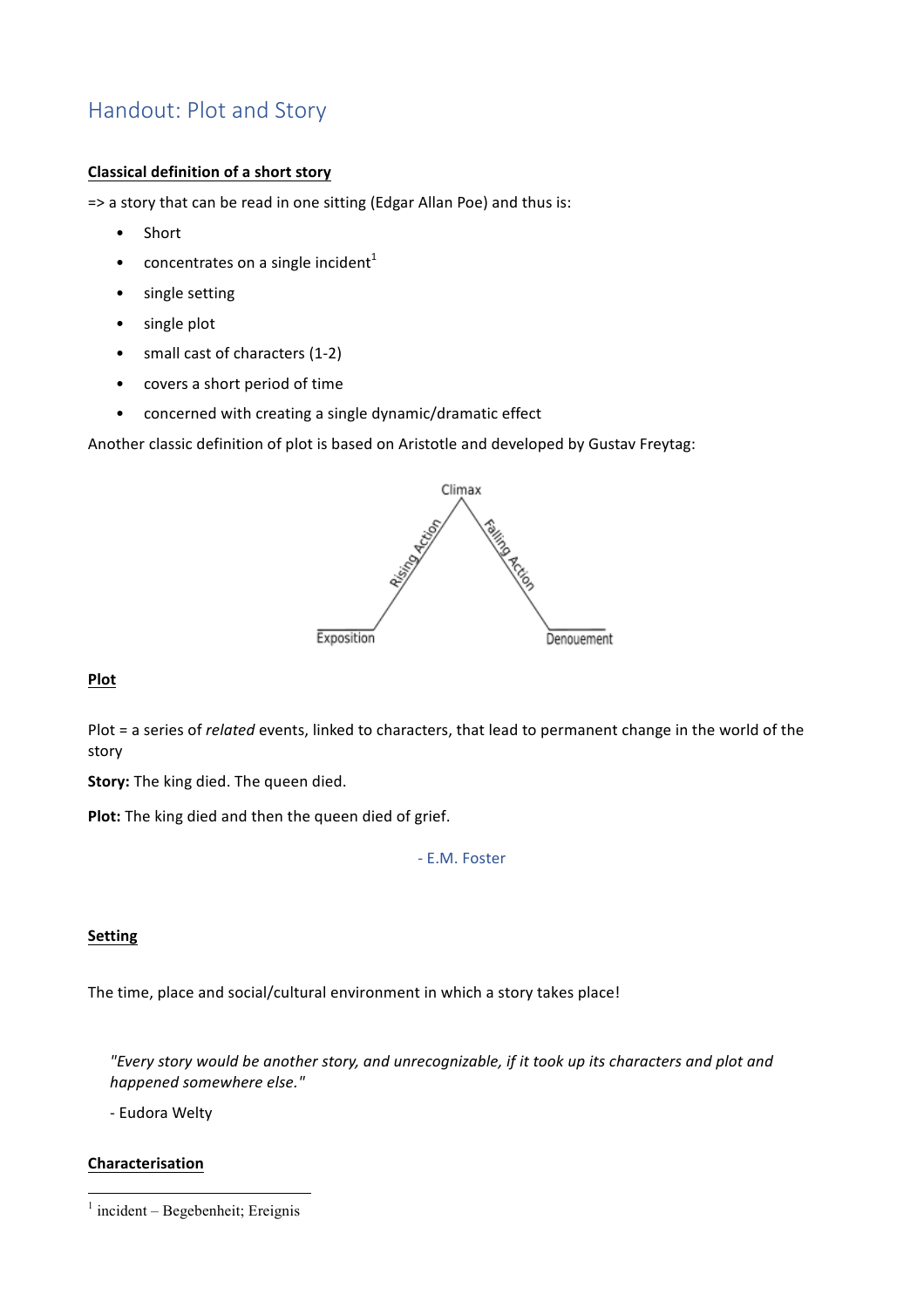# Handout: Plot and Story

## **Classical definition of a short story**

=> a story that can be read in one sitting (Edgar Allan Poe) and thus is:

- Short
- concentrates on a single incident<sup>1</sup>
- single setting
- single plot
- small cast of characters (1-2)
- covers a short period of time
- concerned with creating a single dynamic/dramatic effect

Another classic definition of plot is based on Aristotle and developed by Gustav Freytag:



### **Plot**

Plot = a series of *related* events, linked to characters, that lead to permanent change in the world of the story

**Story:** The king died. The queen died.

**Plot:** The king died and then the queen died of grief.

#### - E.M. Foster

### **Setting**

The time, place and social/cultural environment in which a story takes place!

"Every story would be another story, and unrecognizable, if it took up its characters and plot and *happened somewhere else."*

- Eudora Welty

## **Characterisation**

  $1$  incident – Begebenheit; Ereignis